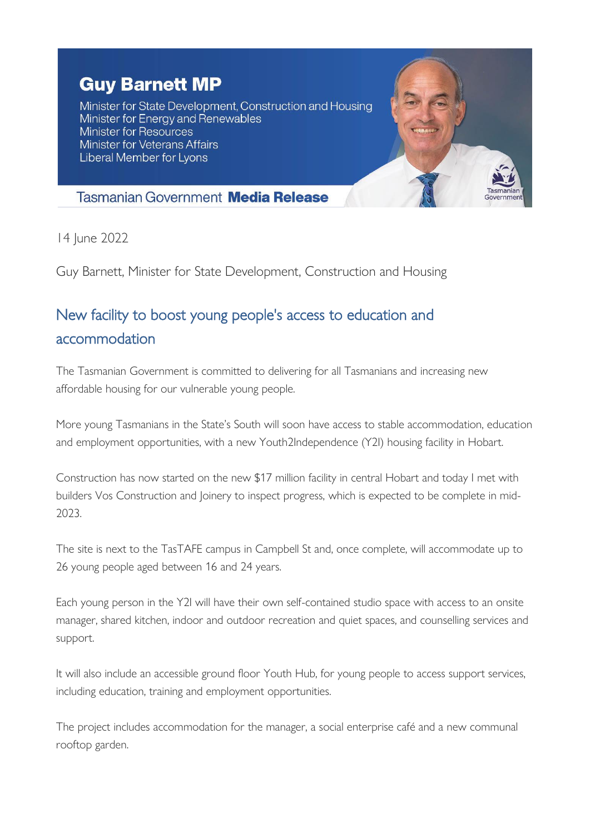## **Guy Barnett MP**

Minister for State Development, Construction and Housing Minister for Energy and Renewables Minister for Resources **Minister for Veterans Affairs** Liberal Member for Lyons



## **Tasmanian Government Media Release**

14 June 2022

Guy Barnett, Minister for State Development, Construction and Housing

## New facility to boost young people's access to education and accommodation

The Tasmanian Government is committed to delivering for all Tasmanians and increasing new affordable housing for our vulnerable young people.

More young Tasmanians in the State's South will soon have access to stable accommodation, education and employment opportunities, with a new Youth2Independence (Y2I) housing facility in Hobart.

Construction has now started on the new \$17 million facility in central Hobart and today I met with builders Vos Construction and Joinery to inspect progress, which is expected to be complete in mid-2023.

The site is next to the TasTAFE campus in Campbell St and, once complete, will accommodate up to 26 young people aged between 16 and 24 years.

Each young person in the Y2I will have their own self-contained studio space with access to an onsite manager, shared kitchen, indoor and outdoor recreation and quiet spaces, and counselling services and support.

It will also include an accessible ground floor Youth Hub, for young people to access support services, including education, training and employment opportunities.

The project includes accommodation for the manager, a social enterprise café and a new communal rooftop garden.